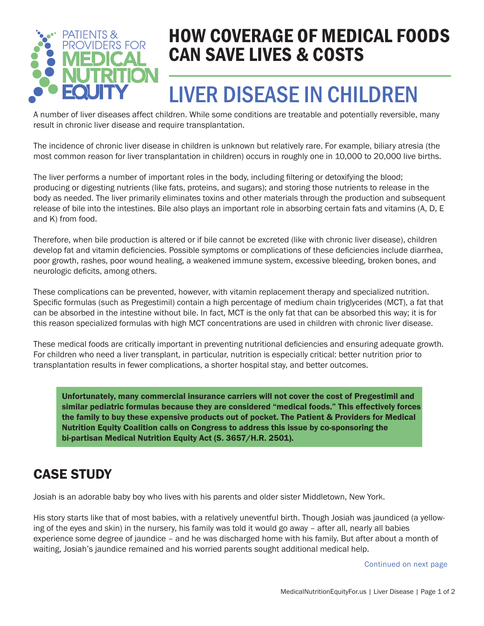

### HOW COVERAGE OF MEDICAL FOODS CAN SAVE LIVES & COSTS

# LIVER DISEASE IN CHILDREN

A number of liver diseases affect children. While some conditions are treatable and potentially reversible, many result in chronic liver disease and require transplantation.

The incidence of chronic liver disease in children is unknown but relatively rare. For example, biliary atresia (the most common reason for liver transplantation in children) occurs in roughly one in 10,000 to 20,000 live births.

The liver performs a number of important roles in the body, including filtering or detoxifying the blood; producing or digesting nutrients (like fats, proteins, and sugars); and storing those nutrients to release in the body as needed. The liver primarily eliminates toxins and other materials through the production and subsequent release of bile into the intestines. Bile also plays an important role in absorbing certain fats and vitamins (A, D, E and K) from food.

Therefore, when bile production is altered or if bile cannot be excreted (like with chronic liver disease), children develop fat and vitamin deficiencies. Possible symptoms or complications of these deficiencies include diarrhea, poor growth, rashes, poor wound healing, a weakened immune system, excessive bleeding, broken bones, and neurologic deficits, among others.

These complications can be prevented, however, with vitamin replacement therapy and specialized nutrition. Specific formulas (such as Pregestimil) contain a high percentage of medium chain triglycerides (MCT), a fat that can be absorbed in the intestine without bile. In fact, MCT is the only fat that can be absorbed this way; it is for this reason specialized formulas with high MCT concentrations are used in children with chronic liver disease.

These medical foods are critically important in preventing nutritional deficiencies and ensuring adequate growth. For children who need a liver transplant, in particular, nutrition is especially critical: better nutrition prior to transplantation results in fewer complications, a shorter hospital stay, and better outcomes.

Unfortunately, many commercial insurance carriers will not cover the cost of Pregestimil and similar pediatric formulas because they are considered "medical foods." This effectively forces the family to buy these expensive products out of pocket. The Patient & Providers for Medical Nutrition Equity Coalition calls on Congress to address this issue by co-sponsoring the bi-partisan Medical Nutrition Equity Act (S. 3657/H.R. 2501).

#### CASE STUDY

Josiah is an adorable baby boy who lives with his parents and older sister Middletown, New York.

His story starts like that of most babies, with a relatively uneventful birth. Though Josiah was jaundiced (a yellowing of the eyes and skin) in the nursery, his family was told it would go away – after all, nearly all babies experience some degree of jaundice – and he was discharged home with his family. But after about a month of waiting, Josiah's jaundice remained and his worried parents sought additional medical help.

Continued on next page